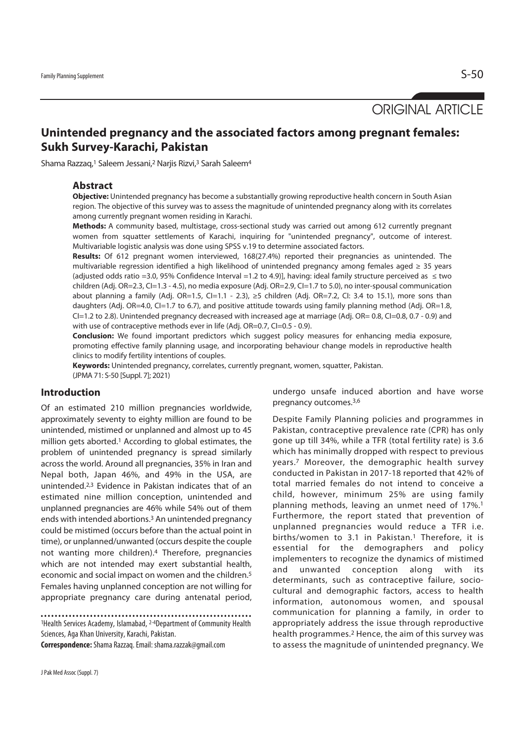ORIGINAL ARTICLE

# **Unintended pregnancy and the associated factors among pregnant females: Sukh Survey-Karachi, Pakistan**

Shama Razzaq,<sup>1</sup> Saleem Jessani,<sup>2</sup> Nariis Rizvi,<sup>3</sup> Sarah Saleem<sup>4</sup>

### **Abstract**

**Objective:** Unintended pregnancy has become a substantially growing reproductive health concern in South Asian region. The objective of this survey was to assess the magnitude of unintended pregnancy along with its correlates among currently pregnant women residing in Karachi.

**Methods:** A community based, multistage, cross-sectional study was carried out among 612 currently pregnant women from squatter settlements of Karachi, inquiring for "unintended pregnancy", outcome of interest. Multivariable logistic analysis was done using SPSS v.19 to determine associated factors.

**Results:** Of 612 pregnant women interviewed, 168(27.4%) reported their pregnancies as unintended. The multivariable regression identified a high likelihood of unintended pregnancy among females aged ≥ 35 years (adjusted odds ratio =3.0, 95% Confidence Interval =1.2 to 4.9)], having: ideal family structure perceived as  $≤$  two children (Adj. OR=2.3, CI=1.3 - 4.5), no media exposure (Adj. OR=2.9, CI=1.7 to 5.0), no inter-spousal communication about planning a family (Adj. OR=1.5, CI=1.1 - 2.3), ≥5 children (Adj. OR=7.2, CI: 3.4 to 15.1), more sons than daughters (Adj. OR=4.0, CI=1.7 to 6.7), and positive attitude towards using family planning method (Adj. OR=1.8,  $Cl=1.2$  to 2.8). Unintended pregnancy decreased with increased age at marriage (Adj. OR= 0.8, CI=0.8, 0.7 - 0.9) and with use of contraceptive methods ever in life (Adj. OR=0.7, CI=0.5 - 0.9).

**Conclusion:** We found important predictors which suggest policy measures for enhancing media exposure, promoting effective family planning usage, and incorporating behaviour change models in reproductive health clinics to modify fertility intentions of couples.

**Keywords:** Unintended pregnancy, correlates, currently pregnant, women, squatter, Pakistan. (JPMA 71: S-50 [Suppl. 7]; 2021)

## **Introduction**

Of an estimated 210 million pregnancies worldwide, approximately seventy to eighty million are found to be unintended, mistimed or unplanned and almost up to 45 million gets aborted.1 According to global estimates, the problem of unintended pregnancy is spread similarly across the world. Around all pregnancies, 35% in Iran and Nepal both, Japan 46%, and 49% in the USA, are unintended.2,3 Evidence in Pakistan indicates that of an estimated nine million conception, unintended and unplanned pregnancies are 46% while 54% out of them ends with intended abortions.3 An unintended pregnancy could be mistimed (occurs before than the actual point in time), or unplanned/unwanted (occurs despite the couple not wanting more children).4 Therefore, pregnancies which are not intended may exert substantial health, economic and social impact on women and the children.5 Females having unplanned conception are not willing for appropriate pregnancy care during antenatal period,

1Health Services Academy, Islamabad, 2-4Department of Community Health Sciences, Aga Khan University, Karachi, Pakistan.

**Correspondence:** Shama Razzaq. Email: shama.razzak@gmail.com

undergo unsafe induced abortion and have worse pregnancy outcomes.3,6

Despite Family Planning policies and programmes in Pakistan, contraceptive prevalence rate (CPR) has only gone up till 34%, while a TFR (total fertility rate) is 3.6 which has minimally dropped with respect to previous years.7 Moreover, the demographic health survey conducted in Pakistan in 2017-18 reported that 42% of total married females do not intend to conceive a child, however, minimum 25% are using family planning methods, leaving an unmet need of 17%.1 Furthermore, the report stated that prevention of unplanned pregnancies would reduce a TFR i.e. births/women to 3.1 in Pakistan.<sup>1</sup> Therefore, it is essential for the demographers and policy implementers to recognize the dynamics of mistimed and unwanted conception along with its determinants, such as contraceptive failure, sociocultural and demographic factors, access to health information, autonomous women, and spousal communication for planning a family, in order to appropriately address the issue through reproductive health programmes.<sup>2</sup> Hence, the aim of this survey was to assess the magnitude of unintended pregnancy. We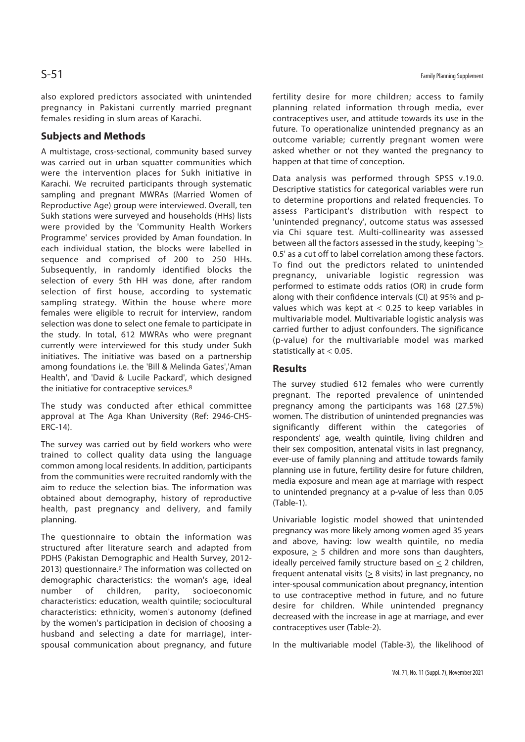also explored predictors associated with unintended pregnancy in Pakistani currently married pregnant females residing in slum areas of Karachi.

## **Subjects and Methods**

A multistage, cross-sectional, community based survey was carried out in urban squatter communities which were the intervention places for Sukh initiative in Karachi. We recruited participants through systematic sampling and pregnant MWRAs (Married Women of Reproductive Age) group were interviewed. Overall, ten Sukh stations were surveyed and households (HHs) lists were provided by the 'Community Health Workers Programme' services provided by Aman foundation. In each individual station, the blocks were labelled in sequence and comprised of 200 to 250 HHs. Subsequently, in randomly identified blocks the selection of every 5th HH was done, after random selection of first house, according to systematic sampling strategy. Within the house where more females were eligible to recruit for interview, random selection was done to select one female to participate in the study. In total, 612 MWRAs who were pregnant currently were interviewed for this study under Sukh initiatives. The initiative was based on a partnership among foundations i.e. the 'Bill & Melinda Gates','Aman Health', and 'David & Lucile Packard', which designed the initiative for contraceptive services.8

The study was conducted after ethical committee approval at The Aga Khan University (Ref: 2946-CHS-ERC-14).

The survey was carried out by field workers who were trained to collect quality data using the language common among local residents. In addition, participants from the communities were recruited randomly with the aim to reduce the selection bias. The information was obtained about demography, history of reproductive health, past pregnancy and delivery, and family planning.

The questionnaire to obtain the information was structured after literature search and adapted from PDHS (Pakistan Demographic and Health Survey, 2012- 2013) questionnaire.<sup>9</sup> The information was collected on demographic characteristics: the woman's age, ideal number of children, parity, socioeconomic characteristics: education, wealth quintile; sociocultural characteristics: ethnicity, women's autonomy (defined by the women's participation in decision of choosing a husband and selecting a date for marriage), interspousal communication about pregnancy, and future

fertility desire for more children; access to family planning related information through media, ever contraceptives user, and attitude towards its use in the future. To operationalize unintended pregnancy as an outcome variable; currently pregnant women were asked whether or not they wanted the pregnancy to happen at that time of conception.

Data analysis was performed through SPSS v.19.0. Descriptive statistics for categorical variables were run to determine proportions and related frequencies. To assess Participant's distribution with respect to 'unintended pregnancy', outcome status was assessed via Chi square test. Multi-collinearity was assessed between all the factors assessed in the study, keeping '> 0.5' as a cut off to label correlation among these factors. To find out the predictors related to unintended pregnancy, univariable logistic regression was performed to estimate odds ratios (OR) in crude form along with their confidence intervals (CI) at 95% and pvalues which was kept at < 0.25 to keep variables in multivariable model. Multivariable logistic analysis was carried further to adjust confounders. The significance (p-value) for the multivariable model was marked statistically at < 0.05.

## **Results**

The survey studied 612 females who were currently pregnant. The reported prevalence of unintended pregnancy among the participants was 168 (27.5%) women. The distribution of unintended pregnancies was significantly different within the categories of respondents' age, wealth quintile, living children and their sex composition, antenatal visits in last pregnancy, ever-use of family planning and attitude towards family planning use in future, fertility desire for future children, media exposure and mean age at marriage with respect to unintended pregnancy at a p-value of less than 0.05 (Table-1).

Univariable logistic model showed that unintended pregnancy was more likely among women aged 35 years and above, having: low wealth quintile, no media exposure,  $\geq$  5 children and more sons than daughters, ideally perceived family structure based on  $\leq 2$  children, frequent antenatal visits (> 8 visits) in last pregnancy, no inter-spousal communication about pregnancy, intention to use contraceptive method in future, and no future desire for children. While unintended pregnancy decreased with the increase in age at marriage, and ever contraceptives user (Table-2).

In the multivariable model (Table-3), the likelihood of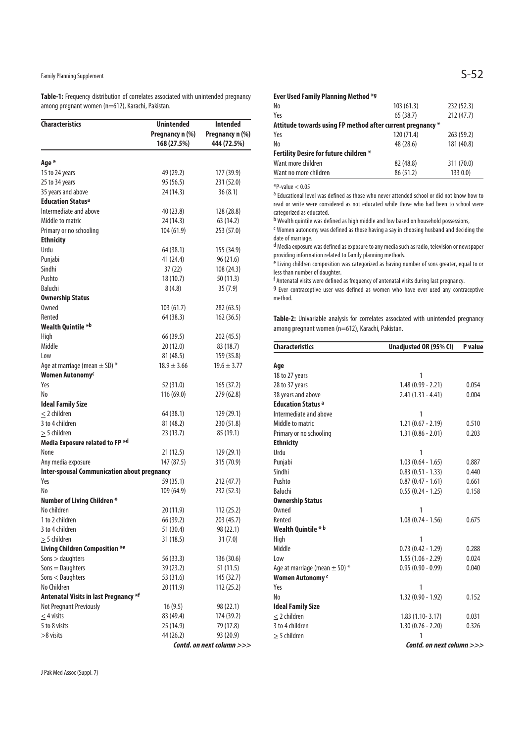# Family Planning Supplement  $\mathsf{S}\text{-52}$

**Table-1:** Frequency distribution of correlates associated with unintended pregnancy among pregnant women (n=612), Karachi, Pakistan.

| <b>Characteristics</b>                             | <b>Unintended</b>              |                                |
|----------------------------------------------------|--------------------------------|--------------------------------|
|                                                    |                                | <b>Intended</b>                |
|                                                    | Pregnancy n (%)<br>168 (27.5%) | Pregnancy n (%)<br>444 (72.5%) |
|                                                    |                                |                                |
| Age *                                              |                                |                                |
| 15 to 24 years                                     | 49 (29.2)                      | 177 (39.9)                     |
| 25 to 34 years                                     | 95 (56.5)                      | 231 (52.0)                     |
| 35 years and above                                 | 24 (14.3)                      | 36(8.1)                        |
| <b>Education Status<sup>a</sup></b>                |                                |                                |
| Intermediate and above                             | 40 (23.8)                      | 128 (28.8)                     |
| Middle to matric                                   | 24 (14.3)                      | 63 (14.2)                      |
| Primary or no schooling                            | 104(61.9)                      | 253 (57.0)                     |
| <b>Ethnicity</b>                                   |                                |                                |
| Urdu                                               | 64 (38.1)                      | 155 (34.9)                     |
| Punjabi                                            | 41 (24.4)                      | 96(21.6)                       |
| Sindhi                                             | 37 (22)                        | 108 (24.3)                     |
| Pushto                                             | 18(10.7)                       | 50(11.3)                       |
| Baluchi                                            | 8(4.8)                         | 35(7.9)                        |
| <b>Ownership Status</b>                            |                                |                                |
| <b>Owned</b>                                       | 103 (61.7)                     | 282 (63.5)                     |
| Rented                                             | 64 (38.3)                      | 162 (36.5)                     |
| Wealth Quintile *b                                 |                                |                                |
| High                                               | 66 (39.5)                      | 202 (45.5)                     |
| Middle                                             | 20 (12.0)                      | 83 (18.7)                      |
| Low                                                | 81 (48.5)                      | 159 (35.8)                     |
| Age at marriage (mean $\pm$ SD) $*$                | $18.9 \pm 3.66$                | $19.6 \pm 3.77$                |
| Women Autonomy <sup>c</sup>                        |                                |                                |
| Yes                                                | 52 (31.0)                      | 165 (37.2)                     |
| No                                                 | 116 (69.0)                     | 279 (62.8)                     |
| <b>Ideal Family Size</b>                           |                                |                                |
| $<$ 2 children                                     | 64 (38.1)                      | 129 (29.1)                     |
| 3 to 4 children                                    | 81 (48.2)                      | 230 (51.8)                     |
| $>$ 5 children                                     | 23 (13.7)                      | 85 (19.1)                      |
| Media Exposure related to FP *d                    |                                |                                |
| None                                               | 21 (12.5)                      | 129 (29.1)                     |
| Any media exposure                                 | 147 (87.5)                     | 315 (70.9)                     |
| <b>Inter-spousal Communication about pregnancy</b> |                                |                                |
| Yes                                                | 59 (35.1)                      | 212 (47.7)                     |
| No                                                 | 109 (64.9)                     | 232 (52.3)                     |
| Number of Living Children *                        |                                |                                |
| No children                                        | 20 (11.9)                      | 112 (25.2)                     |
| 1 to 2 children                                    | 66 (39.2)                      | 203 (45.7)                     |
| 3 to 4 children                                    | 51 (30.4)                      | 98 (22.1)                      |
| $>$ 5 children                                     | 31 (18.5)                      | 31(7.0)                        |
| <b>Living Children Composition *e</b>              |                                |                                |
| Sons > daughters                                   | 56 (33.3)                      | 136 (30.6)                     |
| $Sons = Daughters$                                 |                                |                                |
| Sons < Daughters                                   | 39 (23.2)<br>53 (31.6)         | 51 (11.5)<br>145 (32.7)        |
|                                                    |                                |                                |
| No Children                                        | 20 (11.9)                      | 112 (25.2)                     |
| <b>Antenatal Visits in last Pregnancy *f</b>       |                                |                                |
| Not Pregnant Previously                            | 16(9.5)                        | 98 (22.1)                      |
| $\leq$ 4 visits                                    | 83 (49.4)                      | 174 (39.2)                     |
| 5 to 8 visits                                      | 25 (14.9)                      | 79 (17.8)                      |
| $>8$ visits                                        | 44 (26.2)                      | 93 (20.9)                      |
|                                                    |                                | Contd. on next column >>>      |

J Pak Med Assoc (Suppl. 7)

| Ever Used Family Planning Method *9                        |            |            |  |  |
|------------------------------------------------------------|------------|------------|--|--|
| No                                                         | 103(61.3)  | 232 (52.3) |  |  |
| Yes                                                        | 65(38.7)   | 212(47.7)  |  |  |
| Attitude towards using FP method after current pregnancy * |            |            |  |  |
| Yes                                                        | 120 (71.4) | 263 (59.2) |  |  |
| No                                                         | 48 (28.6)  | 181 (40.8) |  |  |
| Fertility Desire for future children *                     |            |            |  |  |
| Want more children                                         | 82 (48.8)  | 311 (70.0) |  |  |
| Want no more children                                      | 86 (51.2)  | 1330.0     |  |  |

\*P-value < 0.05

a Educational level was defined as those who never attended school or did not know how to read or write were considered as not educated while those who had been to school were categorized as educated.

b Wealth quintile was defined as high middle and low based on household possessions,

c Women autonomy was defined as those having a say in choosing husband and deciding the date of marriage.

d Media exposure was defined as exposure to any media such as radio, television or newspaper providing information related to family planning methods.

e Living children composition was categorized as having number of sons greater, equal to or less than number of daughter.

f Antenatal visits were defined as frequency of antenatal visits during last pregnancy.

g Ever contraceptive user was defined as women who have ever used any contraceptive method.

**Table-2:** Univariable analysis for correlates associated with unintended pregnancy among pregnant women (n=612), Karachi, Pakistan.

| <b>Characteristics</b>              | Unadjusted OR (95% CI)                                                                                                                                                                                                                                                                                            |       |
|-------------------------------------|-------------------------------------------------------------------------------------------------------------------------------------------------------------------------------------------------------------------------------------------------------------------------------------------------------------------|-------|
| Age                                 |                                                                                                                                                                                                                                                                                                                   |       |
| 18 to 27 years                      | 1                                                                                                                                                                                                                                                                                                                 |       |
| 28 to 37 years                      | $1.48(0.99 - 2.21)$                                                                                                                                                                                                                                                                                               | 0.054 |
| 38 years and above                  | $2.41(1.31 - 4.41)$                                                                                                                                                                                                                                                                                               | 0.004 |
| <b>Education Status a</b>           |                                                                                                                                                                                                                                                                                                                   |       |
| Intermediate and above              | 1                                                                                                                                                                                                                                                                                                                 |       |
| Middle to matric                    | $1.21(0.67 - 2.19)$                                                                                                                                                                                                                                                                                               | 0.510 |
| Primary or no schooling             | $1.31(0.86 - 2.01)$                                                                                                                                                                                                                                                                                               | 0.203 |
| <b>Ethnicity</b>                    |                                                                                                                                                                                                                                                                                                                   |       |
| Urdu                                | 1                                                                                                                                                                                                                                                                                                                 |       |
| Punjabi                             | $1.03(0.64 - 1.65)$                                                                                                                                                                                                                                                                                               | 0.887 |
| Sindhi                              | $0.83(0.51 - 1.33)$                                                                                                                                                                                                                                                                                               | 0.440 |
| Pushto                              | $0.87(0.47 - 1.61)$                                                                                                                                                                                                                                                                                               | 0.661 |
| Baluchi                             | $0.55(0.24 - 1.25)$                                                                                                                                                                                                                                                                                               | 0.158 |
| <b>Ownership Status</b>             |                                                                                                                                                                                                                                                                                                                   |       |
| <b>Owned</b>                        | 1                                                                                                                                                                                                                                                                                                                 |       |
| Rented                              | $1.08(0.74 - 1.56)$                                                                                                                                                                                                                                                                                               | 0.675 |
| Wealth Quintile * b                 |                                                                                                                                                                                                                                                                                                                   |       |
| High                                | 1                                                                                                                                                                                                                                                                                                                 |       |
| Middle                              | $0.73(0.42 - 1.29)$                                                                                                                                                                                                                                                                                               | 0.288 |
| Low                                 | $1.55(1.06 - 2.29)$                                                                                                                                                                                                                                                                                               | 0.024 |
| Age at marriage (mean $\pm$ SD) $*$ | $0.95(0.90 - 0.99)$                                                                                                                                                                                                                                                                                               | 0.040 |
| Women Autonomy c                    |                                                                                                                                                                                                                                                                                                                   |       |
| Yes                                 | 1                                                                                                                                                                                                                                                                                                                 |       |
| N <sub>0</sub>                      | $1.32(0.90 - 1.92)$                                                                                                                                                                                                                                                                                               | 0.152 |
| <b>Ideal Family Size</b>            |                                                                                                                                                                                                                                                                                                                   |       |
| $\leq$ 2 children                   | $1.83(1.10-3.17)$                                                                                                                                                                                                                                                                                                 | 0.031 |
| 3 to 4 children                     | $1.30(0.76 - 2.20)$                                                                                                                                                                                                                                                                                               | 0.326 |
| $>$ 5 children                      | 1                                                                                                                                                                                                                                                                                                                 |       |
|                                     | $\mathcal{L}$ and $\mathcal{L}$ and $\mathcal{L}$ and $\mathcal{L}$ and $\mathcal{L}$ and $\mathcal{L}$ and $\mathcal{L}$ and $\mathcal{L}$ and $\mathcal{L}$ and $\mathcal{L}$ and $\mathcal{L}$ and $\mathcal{L}$ and $\mathcal{L}$ and $\mathcal{L}$ and $\mathcal{L}$ and $\mathcal{L}$ and $\mathcal{L}$ and |       |

**Contd. on next column >>>**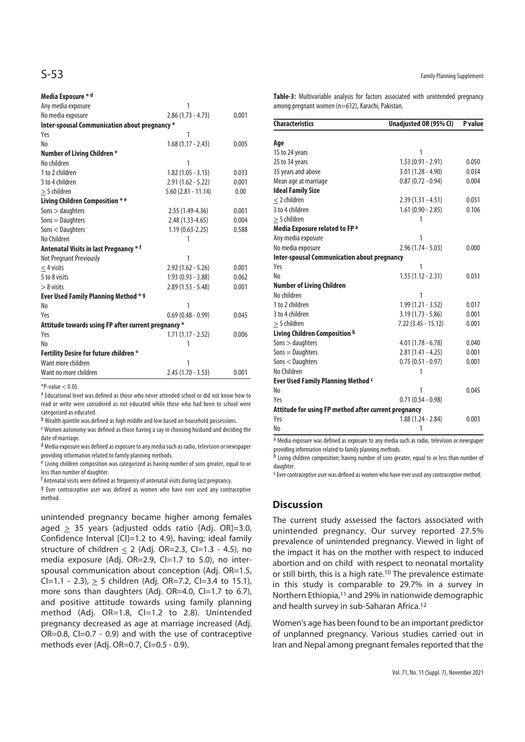| Media Exposure * d                                  |                       |       |
|-----------------------------------------------------|-----------------------|-------|
| Any media exposure                                  | 1                     |       |
| No media exposure                                   | $2.86(1.73 - 4.73)$   | 0.001 |
| Inter-spousal Communication about pregnancy *       |                       |       |
| Yes                                                 | 1                     |       |
| No                                                  | $1.68(1.17 - 2.43)$   | 0.005 |
| <b>Number of Living Children *</b>                  |                       |       |
| No children                                         | 1                     |       |
| 1 to 2 children                                     | $1.82(1.05 - 3.15)$   | 0.033 |
| 3 to 4 children                                     | $2.91(1.62 - 5.22)$   | 0.001 |
| $>$ 5 children                                      | $5.60$ (2.81 - 11.14) | 0.00  |
| Living Children Composition * e                     |                       |       |
| Sons > daughters                                    | 2.55 (1.49-4.36)      | 0.001 |
| $Sons = Daughters$                                  | $2.48(1.33 - 4.65)$   | 0.004 |
| Sons < Daughters                                    | $1.19(0.63 - 2.25)$   | 0.588 |
| No Children                                         | 1                     |       |
| Antenatal Visits in last Pregnancy * f              |                       |       |
| <b>Not Pregnant Previously</b>                      | 1                     |       |
| $<$ 4 visits                                        | $2.92(1.62 - 5.26)$   | 0.001 |
| 5 to 8 visits                                       | $1.93(0.93 - 3.88)$   | 0.062 |
| $> 8$ visits                                        | $2.89(1.53 - 5.48)$   | 0.001 |
| Ever Used Family Planning Method * 9                |                       |       |
| No                                                  | 1                     |       |
| Yes                                                 | $0.69(0.48 - 0.99)$   | 0.045 |
| Attitude towards using FP after current pregnancy * |                       |       |
| Yes                                                 | $1.71(1.17 - 2.52)$   | 0.006 |
| No                                                  | 1                     |       |
| <b>Fertility Desire for future children *</b>       |                       |       |
| Want more children                                  | 1                     |       |
| Want no more children                               | $2.45(1.70 - 3.53)$   | 0.001 |

 $*P-value < 0.05$ 

a Educational level was defined as those who never attended school or did not know how to read or write were considered as not educated while those who had been to school were categorized as educated.

b Wealth quintile was defined as high middle and low based on household possessions.

c Women autonomy was defined as those having a say in choosing husband and deciding the date of marriage.

d Media exposure was defined as exposure to any media such as radio, television or newspaper providing information related to family planning methods.

e Living children composition was categorized as having number of sons greater, equal to or less than number of daughter.

f Antenatal visits were defined as frequency of antenatal visits during last pregnancy.

g Ever contraceptive user was defined as women who have ever used any contraceptive method.

unintended pregnancy became higher among females aged  $\geq$  35 years (adjusted odds ratio [Adj. OR]=3.0, Confidence Interval [CI]=1.2 to 4.9), having; ideal family structure of children  $\leq$  2 (Adj. OR=2.3, CI=1.3 - 4.5), no media exposure (Adj. OR=2.9, CI=1.7 to 5.0), no interspousal communication about conception (Adj. OR=1.5, CI=1.1 - 2.3),  $\geq$  5 children (Adj. OR=7.2, CI=3.4 to 15.1), more sons than daughters (Adj. OR=4.0, CI=1.7 to 6.7), and positive attitude towards using family planning method (Adj. OR=1.8, CI=1.2 to 2.8). Unintended pregnancy decreased as age at marriage increased (Adj. OR=0.8, CI=0.7 - 0.9) and with the use of contraceptive methods ever (Adj. OR=0.7, CI=0.5 - 0.9).

**Table-3:** Multivariable analysis for factors associated with unintended pregnancy among pregnant women (n=612), Karachi, Pakistan.

| <b>Characteristics</b><br>Unadjusted OR (95% CI)     |                     | P value |  |
|------------------------------------------------------|---------------------|---------|--|
| Age                                                  |                     |         |  |
| 15 to 24 years                                       | 1                   |         |  |
| 25 to 34 years                                       | $1.53(0.91 - 2.91)$ | 0.050   |  |
| 35 years and above                                   | $3.01(1.28 - 4.90)$ | 0.034   |  |
| Mean age at marriage                                 | $0.87(0.72 - 0.94)$ | 0.004   |  |
| <b>Ideal Family Size</b>                             |                     |         |  |
| $<$ 2 children                                       | 2.39 (1.31 - 4.51)  | 0.031   |  |
| 3 to 4 children                                      | $1.61(0.90 - 2.85)$ | 0.106   |  |
| $>$ 5 children                                       | 1                   |         |  |
| Media Exposure related to FP a                       |                     |         |  |
| Any media exposure                                   | 1                   |         |  |
| No media exposure                                    | $2.96(1.74 - 5.03)$ | 0.000   |  |
| <b>Inter-spousal Communication about pregnancy</b>   |                     |         |  |
| Yes                                                  | 1                   |         |  |
| No                                                   | $1.55(1.12 - 2.31)$ | 0.031   |  |
| <b>Number of Living Children</b>                     |                     |         |  |
| No children                                          | 1                   |         |  |
| 1 to 2 children                                      | $1.99(1.21 - 3.52)$ | 0.017   |  |
| 3 to 4 children                                      | $3.19(1.73 - 5.86)$ | 0.001   |  |
| $>$ 5 children                                       | 7.22 (3.45 - 15.12) | 0.001   |  |
| Living Children Composition b                        |                     |         |  |
| Sons > daughters                                     | $4.01(1.78 - 6.78)$ | 0.040   |  |
| $Sons = Daughters$                                   | $2.81(1.41 - 4.25)$ | 0.001   |  |
| Sons < Daughters                                     | $0.75(0.51 - 0.97)$ | 0.001   |  |
| No Children                                          | 1                   |         |  |
| Ever Used Family Planning Method c                   |                     |         |  |
| No                                                   | 1                   | 0.045   |  |
| Yes                                                  | $0.71(0.54 - 0.98)$ |         |  |
| Attitude for using FP method after current pregnancy |                     |         |  |
| Yes                                                  | $1.88(1.24 - 2.84)$ | 0.003   |  |
| No                                                   | 1                   |         |  |

<sup>a</sup> Media exposure was defined as exposure to any media such as radio, television or newspaper providing information related to family planning methods.

b Living children composition; having number of sons greater, equal to or less than number of daughter.

<sup>c</sup> Ever contraceptive user was defined as women who have ever used any contraceptive method.

## **Discussion**

The current study assessed the factors associated with unintended pregnancy. Our survey reported 27.5% prevalence of unintended pregnancy. Viewed in light of the impact it has on the mother with respect to induced abortion and on child with respect to neonatal mortality or still birth, this is a high rate.10 The prevalence estimate in this study is comparable to 29.7% in a survey in Northern Ethiopia,11 and 29% in nationwide demographic and health survey in sub-Saharan Africa.12

Women's age has been found to be an important predictor of unplanned pregnancy. Various studies carried out in Iran and Nepal among pregnant females reported that the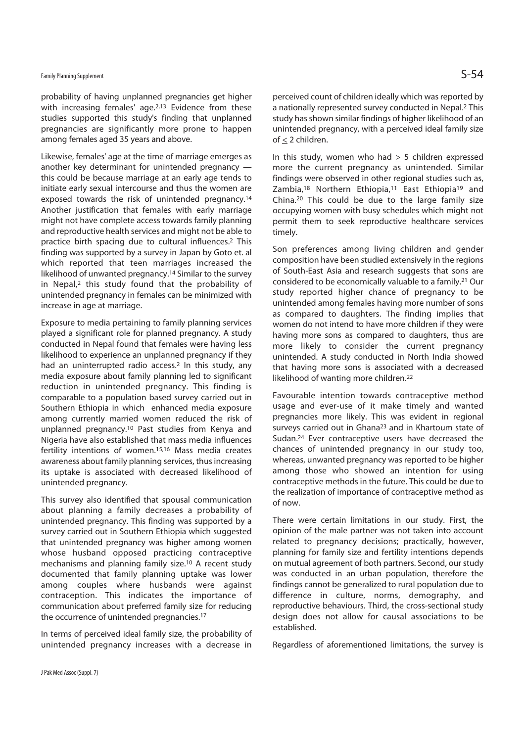# Family Planning Supplement  $\mathsf{S}\text{-}\mathsf{54}$

probability of having unplanned pregnancies get higher with increasing females' age.<sup>2,13</sup> Evidence from these studies supported this study's finding that unplanned pregnancies are significantly more prone to happen among females aged 35 years and above.

Likewise, females' age at the time of marriage emerges as another key determinant for unintended pregnancy this could be because marriage at an early age tends to initiate early sexual intercourse and thus the women are exposed towards the risk of unintended pregnancy.14 Another justification that females with early marriage might not have complete access towards family planning and reproductive health services and might not be able to practice birth spacing due to cultural influences.2 This finding was supported by a survey in Japan by Goto et. al which reported that teen marriages increased the likelihood of unwanted pregnancy.14 Similar to the survey in Nepal,2 this study found that the probability of unintended pregnancy in females can be minimized with increase in age at marriage.

Exposure to media pertaining to family planning services played a significant role for planned pregnancy. A study conducted in Nepal found that females were having less likelihood to experience an unplanned pregnancy if they had an uninterrupted radio access.2 In this study, any media exposure about family planning led to significant reduction in unintended pregnancy. This finding is comparable to a population based survey carried out in Southern Ethiopia in which enhanced media exposure among currently married women reduced the risk of unplanned pregnancy.10 Past studies from Kenya and Nigeria have also established that mass media influences fertility intentions of women.15,16 Mass media creates awareness about family planning services, thus increasing its uptake is associated with decreased likelihood of unintended pregnancy.

This survey also identified that spousal communication about planning a family decreases a probability of unintended pregnancy. This finding was supported by a survey carried out in Southern Ethiopia which suggested that unintended pregnancy was higher among women whose husband opposed practicing contraceptive mechanisms and planning family size.10 A recent study documented that family planning uptake was lower among couples where husbands were against contraception. This indicates the importance of communication about preferred family size for reducing the occurrence of unintended pregnancies.17

In terms of perceived ideal family size, the probability of unintended pregnancy increases with a decrease in

perceived count of children ideally which was reported by a nationally represented survey conducted in Nepal.2 This study has shown similar findings of higher likelihood of an unintended pregnancy, with a perceived ideal family size of  $\leq$  2 children.

In this study, women who had  $\geq$  5 children expressed more the current pregnancy as unintended. Similar findings were observed in other regional studies such as, Zambia,<sup>18</sup> Northern Ethiopia,<sup>11</sup> East Ethiopia<sup>19</sup> and China.20 This could be due to the large family size occupying women with busy schedules which might not permit them to seek reproductive healthcare services timely.

Son preferences among living children and gender composition have been studied extensively in the regions of South-East Asia and research suggests that sons are considered to be economically valuable to a family.21 Our study reported higher chance of pregnancy to be unintended among females having more number of sons as compared to daughters. The finding implies that women do not intend to have more children if they were having more sons as compared to daughters, thus are more likely to consider the current pregnancy unintended. A study conducted in North India showed that having more sons is associated with a decreased likelihood of wanting more children.22

Favourable intention towards contraceptive method usage and ever-use of it make timely and wanted pregnancies more likely. This was evident in regional surveys carried out in Ghana<sup>23</sup> and in Khartoum state of Sudan.24 Ever contraceptive users have decreased the chances of unintended pregnancy in our study too, whereas, unwanted pregnancy was reported to be higher among those who showed an intention for using contraceptive methods in the future. This could be due to the realization of importance of contraceptive method as of now.

There were certain limitations in our study. First, the opinion of the male partner was not taken into account related to pregnancy decisions; practically, however, planning for family size and fertility intentions depends on mutual agreement of both partners. Second, our study was conducted in an urban population, therefore the findings cannot be generalized to rural population due to difference in culture, norms, demography, and reproductive behaviours. Third, the cross-sectional study design does not allow for causal associations to be established.

Regardless of aforementioned limitations, the survey is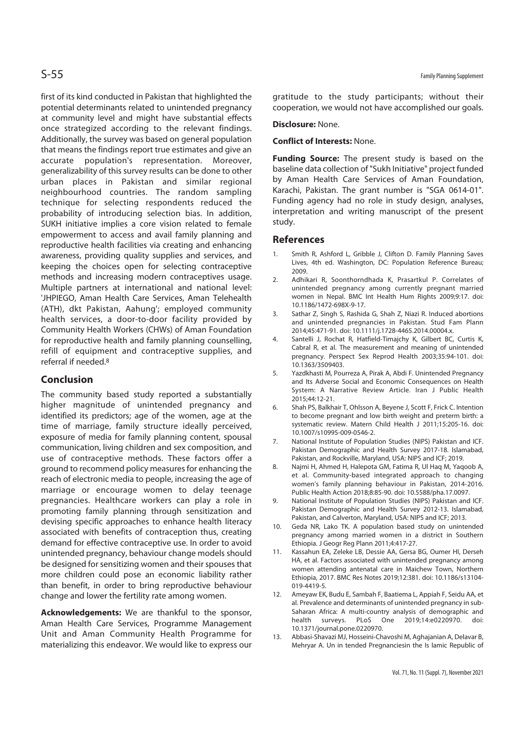first of its kind conducted in Pakistan that highlighted the potential determinants related to unintended pregnancy at community level and might have substantial effects once strategized according to the relevant findings. Additionally, the survey was based on general population that means the findings report true estimates and give an accurate population's representation. Moreover, generalizability of this survey results can be done to other urban places in Pakistan and similar regional neighbourhood countries. The random sampling technique for selecting respondents reduced the probability of introducing selection bias. In addition, SUKH initiative implies a core vision related to female empowerment to access and avail family planning and reproductive health facilities via creating and enhancing awareness, providing quality supplies and services, and keeping the choices open for selecting contraceptive methods and increasing modern contraceptives usage. Multiple partners at international and national level: 'JHPIEGO, Aman Health Care Services, Aman Telehealth (ATH), dkt Pakistan, Aahung'; employed community health services, a door-to-door facility provided by Community Health Workers (CHWs) of Aman Foundation for reproductive health and family planning counselling, refill of equipment and contraceptive supplies, and referral if needed.8

# **Conclusion**

The community based study reported a substantially higher magnitude of unintended pregnancy and identified its predictors; age of the women, age at the time of marriage, family structure ideally perceived, exposure of media for family planning content, spousal communication, living children and sex composition, and use of contraceptive methods. These factors offer a ground to recommend policy measures for enhancing the reach of electronic media to people, increasing the age of marriage or encourage women to delay teenage pregnancies. Healthcare workers can play a role in promoting family planning through sensitization and devising specific approaches to enhance health literacy associated with benefits of contraception thus, creating demand for effective contraceptive use. In order to avoid unintended pregnancy, behaviour change models should be designed for sensitizing women and their spouses that more children could pose an economic liability rather than benefit, in order to bring reproductive behaviour change and lower the fertility rate among women.

**Acknowledgements:** We are thankful to the sponsor, Aman Health Care Services, Programme Management Unit and Aman Community Health Programme for materializing this endeavor. We would like to express our

gratitude to the study participants; without their cooperation, we would not have accomplished our goals.

#### **Disclosure:** None.

#### **Conflict of Interests:** None.

**Funding Source:** The present study is based on the baseline data collection of "Sukh Initiative" project funded by Aman Health Care Services of Aman Foundation, Karachi, Pakistan. The grant number is "SGA 0614-01". Funding agency had no role in study design, analyses, interpretation and writing manuscript of the present study.

#### **References**

- 1. Smith R, Ashford L, Gribble J, Clifton D. Family Planning Saves Lives, 4th ed. Washington, DC: Population Reference Bureau; 2009.
- 2. Adhikari R, Soonthorndhada K, Prasartkul P. Correlates of unintended pregnancy among currently pregnant married women in Nepal. BMC Int Health Hum Rights 2009;9:17. doi: 10.1186/1472-698X-9-17.
- 3. Sathar Z, Singh S, Rashida G, Shah Z, Niazi R. Induced abortions and unintended pregnancies in Pakistan. Stud Fam Plann 2014;45:471-91. doi: 10.1111/j.1728-4465.2014.00004.x.
- 4. Santelli J, Rochat R, Hatfield-Timajchy K, Gilbert BC, Curtis K, Cabral R, et al. The measurement and meaning of unintended pregnancy. Perspect Sex Reprod Health 2003;35:94-101. doi: 10.1363/3509403.
- 5. Yazdkhasti M, Pourreza A, Pirak A, Abdi F. Unintended Pregnancy and Its Adverse Social and Economic Consequences on Health System: A Narrative Review Article. Iran J Public Health 2015;44:12-21.
- 6. Shah PS, Balkhair T, Ohlsson A, Beyene J, Scott F, Frick C. Intention to become pregnant and low birth weight and preterm birth: a systematic review. Matern Child Health J 2011;15:205-16. doi: 10.1007/s10995-009-0546-2.
- 7. National Institute of Population Studies (NIPS) Pakistan and ICF. Pakistan Demographic and Health Survey 2017-18. Islamabad, Pakistan, and Rockville, Maryland, USA: NIPS and ICF; 2019.
- 8. Najmi H, Ahmed H, Halepota GM, Fatima R, Ul Haq M, Yaqoob A, et al. Community-based integrated approach to changing women's family planning behaviour in Pakistan, 2014-2016. Public Health Action 2018;8:85-90. doi: 10.5588/pha.17.0097.
- 9. National Institute of Population Studies (NIPS) Pakistan and ICF. Pakistan Demographic and Health Survey 2012-13. Islamabad, Pakistan, and Calverton, Maryland, USA: NIPS and ICF; 2013.
- 10. Geda NR, Lako TK. A population based study on unintended pregnancy among married women in a district in Southern Ethiopia. J Geogr Reg Plann 2011;4:417-27.
- 11. Kassahun EA, Zeleke LB, Dessie AA, Gersa BG, Oumer HI, Derseh HA, et al. Factors associated with unintended pregnancy among women attending antenatal care in Maichew Town, Northern Ethiopia, 2017. BMC Res Notes 2019;12:381. doi: 10.1186/s13104- 019-4419-5.
- 12. Ameyaw EK, Budu E, Sambah F, Baatiema L, Appiah F, Seidu AA, et al. Prevalence and determinants of unintended pregnancy in sub-Saharan Africa: A multi-country analysis of demographic and health surveys. PLoS One 2019;14:e0220970. doi: 10.1371/journal.pone.0220970.
- 13. Abbasi-Shavazi MJ, Hosseini-Chavoshi M, Aghajanian A, Delavar B, Mehryar A. Un in tended Pregnanciesin the Is lamic Republic of